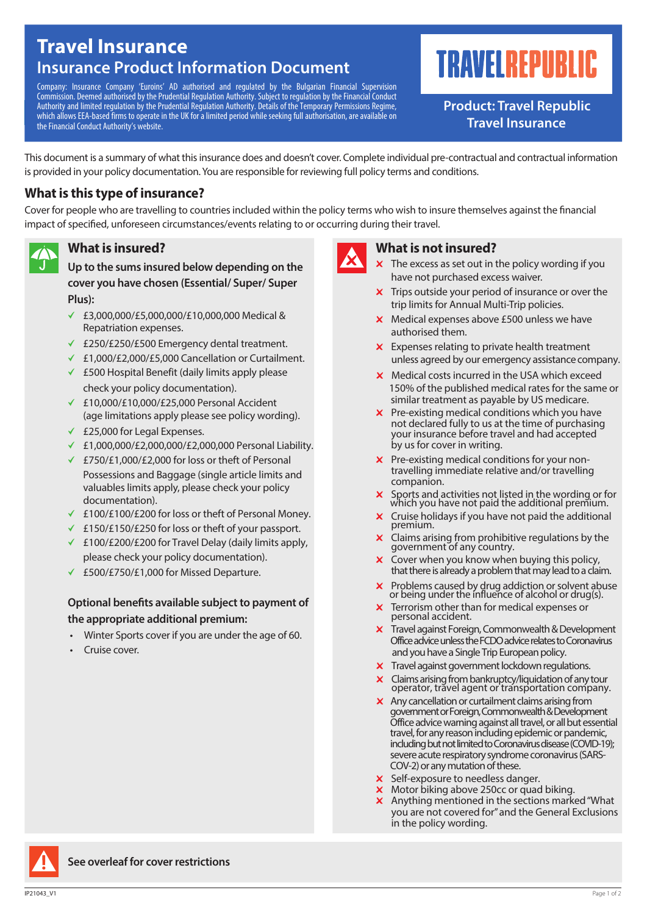## **Travel Insurance Insurance Product Information Document**

Company: Insurance Company 'Euroins' AD authorised and regulated by the Bulgarian Financial Supervision Commission. Deemed authorised by the Prudential Regulation Authority. Subject to regulation by the Financial Conduct Authority and limited regulation by the Prudential Regulation Authority. Details of the Temporary Permissions Regime, which allows EEA-based firms to operate in the UK for a limited period while seeking full authorisation, are available on the Financial Conduct Authority's website.

# **TRAVELREPUBLIC**

**Product: Travel Republic Travel Insurance**

This document is a summary of what this insurance does and doesn't cover. Complete individual pre-contractual and contractual information is provided in your policy documentation. You are responsible for reviewing full policy terms and conditions.

## **What is this type of insurance?**

Cover for people who are travelling to countries included within the policy terms who wish to insure themselves against the financial impact of specified, unforeseen circumstances/events relating to or occurring during their travel.

## **What is insured?**

**Up to the sums insured below depending on the cover you have chosen (Essential/ Super/ Super Plus):**

- ← £3,000,000/£5,000,000/£10,000,000 Medical & Repatriation expenses.
- b £250/£250/£500 Emergency dental treatment.
- ← £1,000/£2,000/£5,000 Cancellation or Curtailment.
- $\angle$  £500 Hospital Benefit (daily limits apply please check your policy documentation).
- b £10,000/£10,000/£25,000 Personal Accident (age limitations apply please see policy wording).
- $\times$  £25,000 for Legal Expenses.
- ← £1,000,000/£2,000,000/£2,000,000 Personal Liability.
- ← £750/£1,000/£2,000 for loss or theft of Personal Possessions and Baggage (single article limits and valuables limits apply, please check your policy documentation).
- b £100/£100/£200 for loss or theft of Personal Money.
- ← £150/£150/£250 for loss or theft of your passport.
- ← £100/£200/£200 for Travel Delay (daily limits apply, please check your policy documentation).
- b £500/£750/£1,000 for Missed Departure.

#### **Optional benefits available subject to payment of the appropriate additional premium:**

- Winter Sports cover if you are under the age of 60.
- Cruise cover.



#### **What is not insured?**

- $x$  The excess as set out in the policy wording if you have not purchased excess waiver.
- $\boldsymbol{\times}$  Trips outside your period of insurance or over the trip limits for Annual Multi-Trip policies.
- $x$  Medical expenses above £500 unless we have authorised them.
- $x$  Expenses relating to private health treatment unless agreed by our emergency assistance company.
- $\times$  Medical costs incurred in the USA which exceed 150% of the published medical rates for the same or similar treatment as payable by US medicare.
- not declared fully to us at the time of purchasing your insurance before travel and had accepted by us for cover in writing.  $x$  Pre-existing medical conditions which you have
- $\boldsymbol{\times}$  Pre-existing medical conditions for your nontravelling immediate relative and/or travelling companion.
- Sports and activities not listed in the wording or for which you have not paid the additional premium.
- $\boldsymbol{\times}$  Cruise holidays if you have not paid the additional premium.
- $\times$  Claims arising from prohibitive regulations by the government of any country.
- $\boldsymbol{\times}$  Cover when you know when buying this policy, that there is already a problem that may lead to a claim.
- $\boldsymbol{\times}$  Problems caused by drug addiction or solvent abuse or being under the influence of alcohol or drug(s).
- $\times$  Terrorism other than for medical expenses or personal accident.
- $\times$  Travel against Foreign, Commonwealth & Development Office advice unless the FCDOadvice relates to Coronavirus and you have a Single Trip European policy.
- $\times$  Travel against government lockdown regulations.
- $\times$  Claims arising from bankruptcy/liquidation of any tour operator, travel agent or transportation company.
- $\times$  Any cancellation or curtailment claims arising from government or Foreign, Commonwealth &Development Office advice warning against all travel, or all but essential travel, for any reason including epidemic or pandemic, including but not limited to Coronavirus disease (COVID-19); severe acute respiratory syndrome coronavirus (SARS- COV-2) or any mutation of these.
- **x** Self-exposure to needless danger.
- **x** Motor biking above 250cc or quad biking.
- you are not covered for"and the General Exclusions in the policy wording. **x** Anything mentioned in the sections marked "What